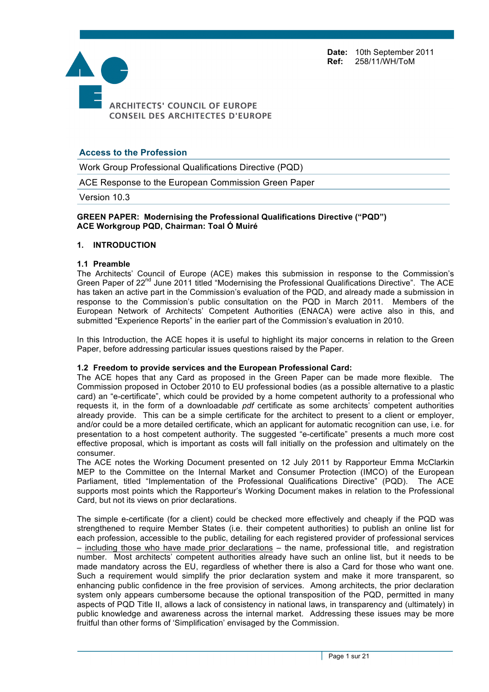**Date:** 10th September 2011 **Ref:** 258/11/WH/ToM



# **Access to the Profession**

Work Group Professional Qualifications Directive (PQD)

ACE Response to the European Commission Green Paper

Version 10.3

### **GREEN PAPER: Modernising the Professional Qualifications Directive ("PQD") ACE Workgroup PQD, Chairman: Toal Ó Muiré**

### **1. INTRODUCTION**

### **1.1 Preamble**

The Architects' Council of Europe (ACE) makes this submission in response to the Commission's Green Paper of 22<sup>nd</sup> June 2011 titled "Modernising the Professional Qualifications Directive". The ACE has taken an active part in the Commission's evaluation of the PQD, and already made a submission in response to the Commission's public consultation on the PQD in March 2011. Members of the European Network of Architects' Competent Authorities (ENACA) were active also in this, and submitted "Experience Reports" in the earlier part of the Commission's evaluation in 2010.

In this Introduction, the ACE hopes it is useful to highlight its major concerns in relation to the Green Paper, before addressing particular issues questions raised by the Paper.

### **1.2 Freedom to provide services and the European Professional Card:**

The ACE hopes that any Card as proposed in the Green Paper can be made more flexible. The Commission proposed in October 2010 to EU professional bodies (as a possible alternative to a plastic card) an "e-certificate", which could be provided by a home competent authority to a professional who requests it, in the form of a downloadable *pdf* certificate as some architects' competent authorities already provide. This can be a simple certificate for the architect to present to a client or employer, and/or could be a more detailed certificate, which an applicant for automatic recognition can use, i.e. for presentation to a host competent authority. The suggested "e-certificate" presents a much more cost effective proposal, which is important as costs will fall initially on the profession and ultimately on the consumer.

The ACE notes the Working Document presented on 12 July 2011 by Rapporteur Emma McClarkin MEP to the Committee on the Internal Market and Consumer Protection (IMCO) of the European Parliament, titled "Implementation of the Professional Qualifications Directive" (PQD). The ACE supports most points which the Rapporteur's Working Document makes in relation to the Professional Card, but not its views on prior declarations.

The simple e-certificate (for a client) could be checked more effectively and cheaply if the PQD was strengthened to require Member States (i.e. their competent authorities) to publish an online list for each profession, accessible to the public, detailing for each registered provider of professional services – including those who have made prior declarations – the name, professional title, and registration number. Most architects' competent authorities already have such an online list, but it needs to be made mandatory across the EU, regardless of whether there is also a Card for those who want one. Such a requirement would simplify the prior declaration system and make it more transparent, so enhancing public confidence in the free provision of services. Among architects, the prior declaration system only appears cumbersome because the optional transposition of the PQD, permitted in many aspects of PQD Title II, allows a lack of consistency in national laws, in transparency and (ultimately) in public knowledge and awareness across the internal market. Addressing these issues may be more fruitful than other forms of 'Simplification' envisaged by the Commission.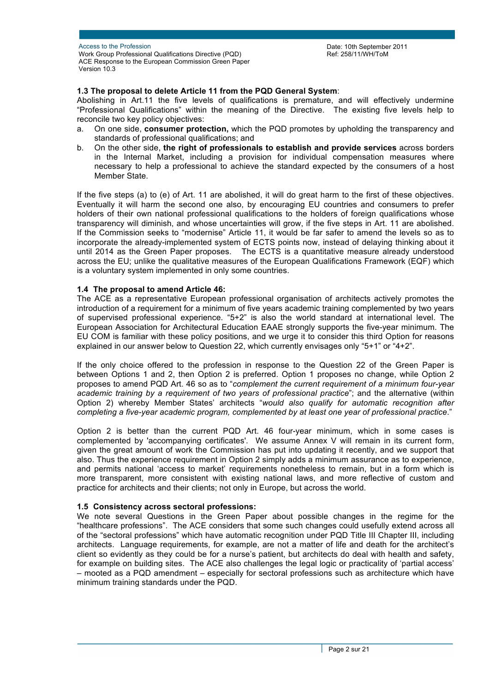Date: 10th September 2011 Ref: 258/11/WH/ToM

Access to the Profession Work Group Professional Qualifications Directive (PQD) ACE Response to the European Commission Green Paper Version 10.3

# **1.3 The proposal to delete Article 11 from the PQD General System**:

Abolishing in Art.11 the five levels of qualifications is premature, and will effectively undermine "Professional Qualifications" within the meaning of the Directive. The existing five levels help to reconcile two key policy objectives:

- a. On one side, **consumer protection,** which the PQD promotes by upholding the transparency and standards of professional qualifications; and
- b. On the other side, **the right of professionals to establish and provide services** across borders in the Internal Market, including a provision for individual compensation measures where necessary to help a professional to achieve the standard expected by the consumers of a host Member State.

If the five steps (a) to (e) of Art. 11 are abolished, it will do great harm to the first of these objectives. Eventually it will harm the second one also, by encouraging EU countries and consumers to prefer holders of their own national professional qualifications to the holders of foreign qualifications whose transparency will diminish, and whose uncertainties will grow, if the five steps in Art. 11 are abolished. If the Commission seeks to "modernise" Article 11, it would be far safer to amend the levels so as to incorporate the already-implemented system of ECTS points now, instead of delaying thinking about it until 2014 as the Green Paper proposes. The ECTS is a quantitative measure already understood across the EU; unlike the qualitative measures of the European Qualifications Framework (EQF) which is a voluntary system implemented in only some countries.

# **1.4 The proposal to amend Article 46:**

The ACE as a representative European professional organisation of architects actively promotes the introduction of a requirement for a minimum of five years academic training complemented by two years of supervised professional experience. "5+2" is also the world standard at international level. The European Association for Architectural Education EAAE strongly supports the five-year minimum. The EU COM is familiar with these policy positions, and we urge it to consider this third Option for reasons explained in our answer below to Question 22, which currently envisages only "5+1" or "4+2".

If the only choice offered to the profession in response to the Question 22 of the Green Paper is between Options 1 and 2, then Option 2 is preferred. Option 1 proposes no change, while Option 2 proposes to amend PQD Art. 46 so as to "*complement the current requirement of a minimum four-year academic training by a requirement of two years of professional practice*"; and the alternative (within Option 2) whereby Member States' architects "*would also qualify for automatic recognition after completing a five-year academic program, complemented by at least one year of professional practice*."

Option 2 is better than the current PQD Art. 46 four-year minimum, which in some cases is complemented by 'accompanying certificates'. We assume Annex V will remain in its current form, given the great amount of work the Commission has put into updating it recently, and we support that also. Thus the experience requirement in Option 2 simply adds a minimum assurance as to experience, and permits national 'access to market' requirements nonetheless to remain, but in a form which is more transparent, more consistent with existing national laws, and more reflective of custom and practice for architects and their clients; not only in Europe, but across the world.

# **1.5 Consistency across sectoral professions:**

We note several Questions in the Green Paper about possible changes in the regime for the "healthcare professions". The ACE considers that some such changes could usefully extend across all of the "sectoral professions" which have automatic recognition under PQD Title III Chapter III, including architects. Language requirements, for example, are not a matter of life and death for the architect's client so evidently as they could be for a nurse's patient, but architects do deal with health and safety, for example on building sites. The ACE also challenges the legal logic or practicality of 'partial access' – mooted as a PQD amendment – especially for sectoral professions such as architecture which have minimum training standards under the PQD.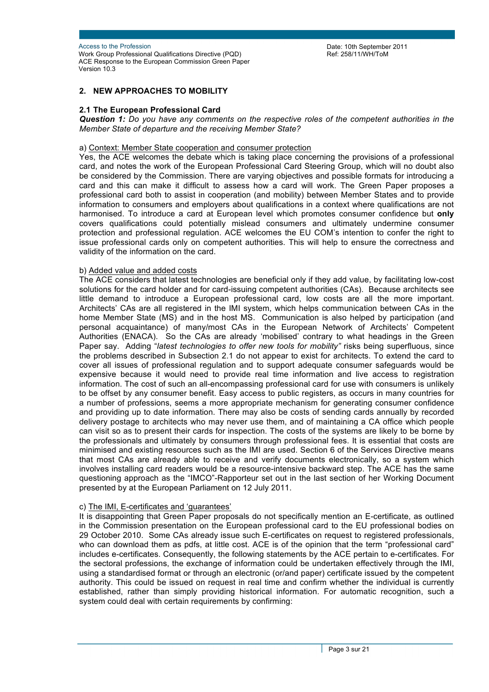Date: 10th September 2011 Ref: 258/11/WH/ToM

### **2. NEW APPROACHES TO MOBILITY**

#### **2.1 The European Professional Card**

*Question 1: Do you have any comments on the respective roles of the competent authorities in the Member State of departure and the receiving Member State?* 

#### a) Context: Member State cooperation and consumer protection

Yes, the ACE welcomes the debate which is taking place concerning the provisions of a professional card, and notes the work of the European Professional Card Steering Group, which will no doubt also be considered by the Commission. There are varying objectives and possible formats for introducing a card and this can make it difficult to assess how a card will work. The Green Paper proposes a professional card both to assist in cooperation (and mobility) between Member States and to provide information to consumers and employers about qualifications in a context where qualifications are not harmonised. To introduce a card at European level which promotes consumer confidence but **only** covers qualifications could potentially mislead consumers and ultimately undermine consumer protection and professional regulation. ACE welcomes the EU COM's intention to confer the right to issue professional cards only on competent authorities. This will help to ensure the correctness and validity of the information on the card.

#### b) Added value and added costs

The ACE considers that latest technologies are beneficial only if they add value, by facilitating low-cost solutions for the card holder and for card-issuing competent authorities (CAs). Because architects see little demand to introduce a European professional card, low costs are all the more important. Architects' CAs are all registered in the IMI system, which helps communication between CAs in the home Member State (MS) and in the host MS. Communication is also helped by participation (and personal acquaintance) of many/most CAs in the European Network of Architects' Competent Authorities (ENACA). So the CAs are already 'mobilised' contrary to what headings in the Green Paper say. Adding "latest technologies to offer new tools for mobility" risks being superfluous, since the problems described in Subsection 2.1 do not appear to exist for architects. To extend the card to cover all issues of professional regulation and to support adequate consumer safeguards would be expensive because it would need to provide real time information and live access to registration information. The cost of such an all-encompassing professional card for use with consumers is unlikely to be offset by any consumer benefit. Easy access to public registers, as occurs in many countries for a number of professions, seems a more appropriate mechanism for generating consumer confidence and providing up to date information. There may also be costs of sending cards annually by recorded delivery postage to architects who may never use them, and of maintaining a CA office which people can visit so as to present their cards for inspection. The costs of the systems are likely to be borne by the professionals and ultimately by consumers through professional fees. It is essential that costs are minimised and existing resources such as the IMI are used. Section 6 of the Services Directive means that most CAs are already able to receive and verify documents electronically, so a system which involves installing card readers would be a resource-intensive backward step. The ACE has the same questioning approach as the "IMCO"-Rapporteur set out in the last section of her Working Document presented by at the European Parliament on 12 July 2011.

### c) The IMI, E-certificates and 'guarantees'

It is disappointing that Green Paper proposals do not specifically mention an E-certificate, as outlined in the Commission presentation on the European professional card to the EU professional bodies on 29 October 2010. Some CAs already issue such E-certificates on request to registered professionals, who can download them as pdfs, at little cost. ACE is of the opinion that the term "professional card" includes e-certificates. Consequently, the following statements by the ACE pertain to e-certificates. For the sectoral professions, the exchange of information could be undertaken effectively through the IMI, using a standardised format or through an electronic (or/and paper) certificate issued by the competent authority. This could be issued on request in real time and confirm whether the individual is currently established, rather than simply providing historical information. For automatic recognition, such a system could deal with certain requirements by confirming: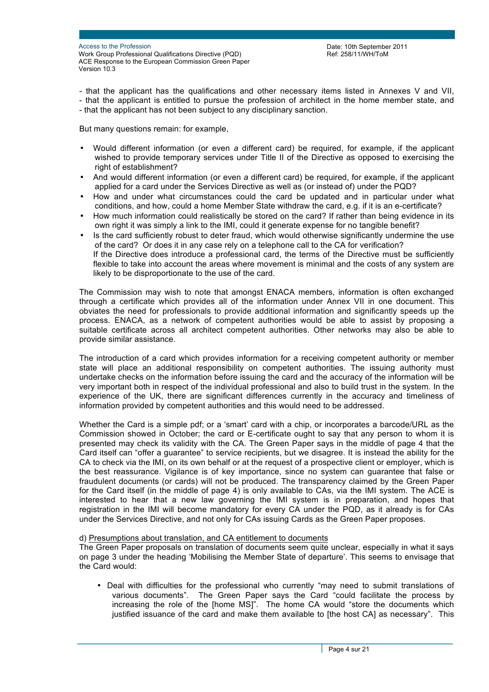Date: 10th September 2011 Ref: 258/11/WH/ToM

- that the applicant has the qualifications and other necessary items listed in Annexes V and VII, - that the applicant is entitled to pursue the profession of architect in the home member state, and - that the applicant has not been subject to any disciplinary sanction.

But many questions remain: for example,

- Would different information (or even *a* different card) be required, for example, if the applicant wished to provide temporary services under Title II of the Directive as opposed to exercising the right of establishment?
- And would different information (or even *a* different card) be required, for example, if the applicant applied for a card under the Services Directive as well as (or instead of) under the PQD?
- How and under what circumstances could the card be updated and in particular under what conditions, and how, could a home Member State withdraw the card, e.g. if it is an e-certificate?
- How much information could realistically be stored on the card? If rather than being evidence in its own right it was simply a link to the IMI, could it generate expense for no tangible benefit?
- Is the card sufficiently robust to deter fraud, which would otherwise significantly undermine the use of the card? Or does it in any case rely on a telephone call to the CA for verification? If the Directive does introduce a professional card, the terms of the Directive must be sufficiently flexible to take into account the areas where movement is minimal and the costs of any system are likely to be disproportionate to the use of the card.

The Commission may wish to note that amongst ENACA members, information is often exchanged through a certificate which provides all of the information under Annex VII in one document. This obviates the need for professionals to provide additional information and significantly speeds up the process. ENACA, as a network of competent authorities would be able to assist by proposing a suitable certificate across all architect competent authorities. Other networks may also be able to provide similar assistance.

The introduction of a card which provides information for a receiving competent authority or member state will place an additional responsibility on competent authorities. The issuing authority must undertake checks on the information before issuing the card and the accuracy of the information will be very important both in respect of the individual professional and also to build trust in the system. In the experience of the UK, there are significant differences currently in the accuracy and timeliness of information provided by competent authorities and this would need to be addressed.

Whether the Card is a simple pdf; or a 'smart' card with a chip, or incorporates a barcode/URL as the Commission showed in October; the card or E-certificate ought to say that any person to whom it is presented may check its validity with the CA. The Green Paper says in the middle of page 4 that the Card itself can "offer a guarantee" to service recipients, but we disagree. It is instead the ability for the CA to check via the IMI, on its own behalf or at the request of a prospective client or employer, which is the best reassurance. Vigilance is of key importance, since no system can guarantee that false or fraudulent documents (or cards) will not be produced. The transparency claimed by the Green Paper for the Card itself (in the middle of page 4) is only available to CAs, via the IMI system. The ACE is interested to hear that a new law governing the IMI system is in preparation, and hopes that registration in the IMI will become mandatory for every CA under the PQD, as it already is for CAs under the Services Directive, and not only for CAs issuing Cards as the Green Paper proposes.

### d) Presumptions about translation, and CA entitlement to documents

The Green Paper proposals on translation of documents seem quite unclear, especially in what it says on page 3 under the heading 'Mobilising the Member State of departure'. This seems to envisage that the Card would:

• Deal with difficulties for the professional who currently "may need to submit translations of various documents". The Green Paper says the Card "could facilitate the process by increasing the role of the [home MS]". The home CA would "store the documents which justified issuance of the card and make them available to [the host CA] as necessary". This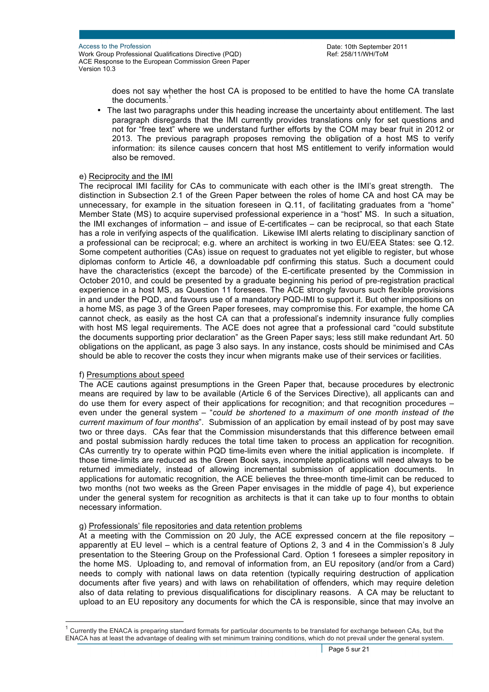does not say whether the host CA is proposed to be entitled to have the home CA translate the documents.

• The last two paragraphs under this heading increase the uncertainty about entitlement. The last paragraph disregards that the IMI currently provides translations only for set questions and not for "free text" where we understand further efforts by the COM may bear fruit in 2012 or 2013. The previous paragraph proposes removing the obligation of a host MS to verify information: its silence causes concern that host MS entitlement to verify information would also be removed.

### e) Reciprocity and the IMI

The reciprocal IMI facility for CAs to communicate with each other is the IMI's great strength. The distinction in Subsection 2.1 of the Green Paper between the roles of home CA and host CA may be unnecessary, for example in the situation foreseen in Q.11, of facilitating graduates from a "home" Member State (MS) to acquire supervised professional experience in a "host" MS. In such a situation, the IMI exchanges of information – and issue of E-certificates – can be reciprocal, so that each State has a role in verifying aspects of the qualification. Likewise IMI alerts relating to disciplinary sanction of a professional can be reciprocal; e.g. where an architect is working in two EU/EEA States: see Q.12. Some competent authorities (CAs) issue on request to graduates not yet eligible to register, but whose diplomas conform to Article 46, a downloadable pdf confirming this status. Such a document could have the characteristics (except the barcode) of the E-certificate presented by the Commission in October 2010, and could be presented by a graduate beginning his period of pre-registration practical experience in a host MS, as Question 11 foresees. The ACE strongly favours such flexible provisions in and under the PQD, and favours use of a mandatory PQD-IMI to support it. But other impositions on a home MS, as page 3 of the Green Paper foresees, may compromise this. For example, the home CA cannot check, as easily as the host CA can that a professional's indemnity insurance fully complies with host MS legal requirements. The ACE does not agree that a professional card "could substitute the documents supporting prior declaration" as the Green Paper says; less still make redundant Art. 50 obligations on the applicant, as page 3 also says. In any instance, costs should be minimised and CAs should be able to recover the costs they incur when migrants make use of their services or facilities.

# f) Presumptions about speed

The ACE cautions against presumptions in the Green Paper that, because procedures by electronic means are required by law to be available (Article 6 of the Services Directive), all applicants can and do use them for every aspect of their applications for recognition; and that recognition procedures – even under the general system – "*could be shortened to a maximum of one month instead of the current maximum of four months*". Submission of an application by email instead of by post may save two or three days. CAs fear that the Commission misunderstands that this difference between email and postal submission hardly reduces the total time taken to process an application for recognition. CAs currently try to operate within PQD time-limits even where the initial application is incomplete. If those time-limits are reduced as the Green Book says, incomplete applications will need always to be returned immediately, instead of allowing incremental submission of application documents. In applications for automatic recognition, the ACE believes the three-month time-limit can be reduced to two months (not two weeks as the Green Paper envisages in the middle of page 4), but experience under the general system for recognition as architects is that it can take up to four months to obtain necessary information.

### g) Professionals' file repositories and data retention problems

At a meeting with the Commission on 20 July, the ACE expressed concern at the file repository – apparently at EU level – which is a central feature of Options 2, 3 and 4 in the Commission's 8 July presentation to the Steering Group on the Professional Card. Option 1 foresees a simpler repository in the home MS. Uploading to, and removal of information from, an EU repository (and/or from a Card) needs to comply with national laws on data retention (typically requiring destruction of application documents after five years) and with laws on rehabilitation of offenders, which may require deletion also of data relating to previous disqualifications for disciplinary reasons. A CA may be reluctant to upload to an EU repository any documents for which the CA is responsible, since that may involve an

 $1$  Currently the ENACA is preparing standard formats for particular documents to be translated for exchange between CAs, but the ENACA has at least the advantage of dealing with set minimum training conditions, which do not prevail under the general system.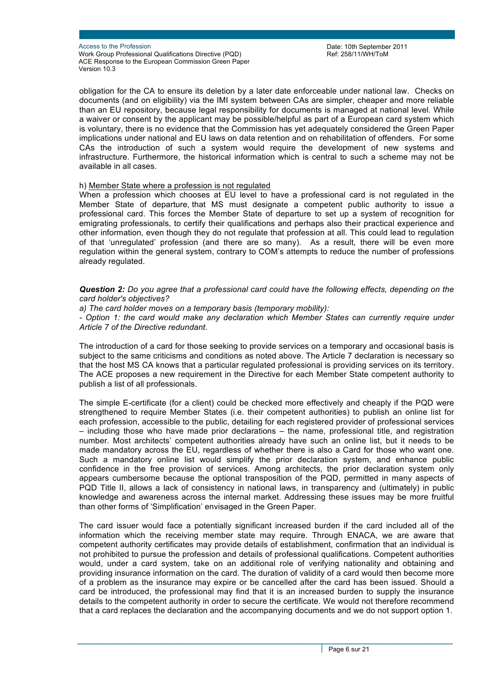Date: 10th September 2011 Ref: 258/11/WH/ToM

obligation for the CA to ensure its deletion by a later date enforceable under national law. Checks on documents (and on eligibility) via the IMI system between CAs are simpler, cheaper and more reliable than an EU repository, because legal responsibility for documents is managed at national level. While a waiver or consent by the applicant may be possible/helpful as part of a European card system which is voluntary, there is no evidence that the Commission has yet adequately considered the Green Paper implications under national and EU laws on data retention and on rehabilitation of offenders. For some CAs the introduction of such a system would require the development of new systems and infrastructure. Furthermore, the historical information which is central to such a scheme may not be available in all cases.

### h) Member State where a profession is not regulated

When a profession which chooses at EU level to have a professional card is not regulated in the Member State of departure, that MS must designate a competent public authority to issue a professional card. This forces the Member State of departure to set up a system of recognition for emigrating professionals, to certify their qualifications and perhaps also their practical experience and other information, even though they do not regulate that profession at all. This could lead to regulation of that 'unregulated' profession (and there are so many). As a result, there will be even more regulation within the general system, contrary to COM's attempts to reduce the number of professions already regulated.

*Question 2: Do you agree that a professional card could have the following effects, depending on the card holder's objectives?*

*a) The card holder moves on a temporary basis (temporary mobility):*

*- Option 1: the card would make any declaration which Member States can currently require under Article 7 of the Directive redundant.*

The introduction of a card for those seeking to provide services on a temporary and occasional basis is subject to the same criticisms and conditions as noted above. The Article 7 declaration is necessary so that the host MS CA knows that a particular regulated professional is providing services on its territory. The ACE proposes a new requirement in the Directive for each Member State competent authority to publish a list of all professionals.

The simple E-certificate (for a client) could be checked more effectively and cheaply if the PQD were strengthened to require Member States (i.e. their competent authorities) to publish an online list for each profession, accessible to the public, detailing for each registered provider of professional services – including those who have made prior declarations – the name, professional title, and registration number. Most architects' competent authorities already have such an online list, but it needs to be made mandatory across the EU, regardless of whether there is also a Card for those who want one. Such a mandatory online list would simplify the prior declaration system, and enhance public confidence in the free provision of services. Among architects, the prior declaration system only appears cumbersome because the optional transposition of the PQD, permitted in many aspects of PQD Title II, allows a lack of consistency in national laws, in transparency and (ultimately) in public knowledge and awareness across the internal market. Addressing these issues may be more fruitful than other forms of 'Simplification' envisaged in the Green Paper.

The card issuer would face a potentially significant increased burden if the card included all of the information which the receiving member state may require. Through ENACA, we are aware that competent authority certificates may provide details of establishment, confirmation that an individual is not prohibited to pursue the profession and details of professional qualifications. Competent authorities would, under a card system, take on an additional role of verifying nationality and obtaining and providing insurance information on the card. The duration of validity of a card would then become more of a problem as the insurance may expire or be cancelled after the card has been issued. Should a card be introduced, the professional may find that it is an increased burden to supply the insurance details to the competent authority in order to secure the certificate. We would not therefore recommend that a card replaces the declaration and the accompanying documents and we do not support option 1.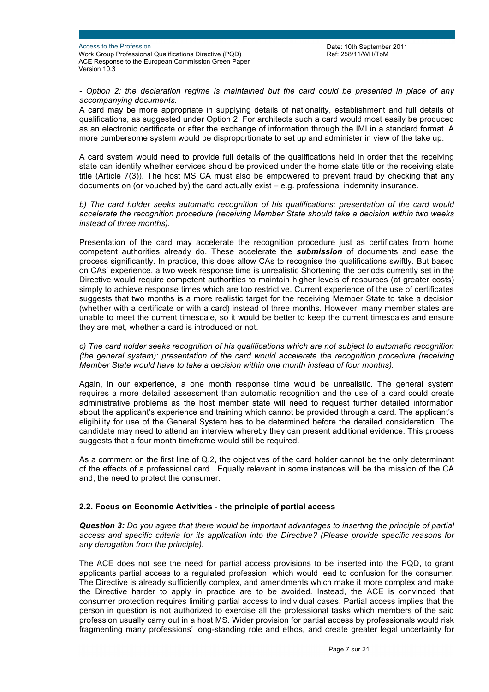Date: 10th September 2011 Ref: 258/11/WH/ToM

*- Option 2: the declaration regime is maintained but the card could be presented in place of any accompanying documents.*

A card may be more appropriate in supplying details of nationality, establishment and full details of qualifications, as suggested under Option 2. For architects such a card would most easily be produced as an electronic certificate or after the exchange of information through the IMI in a standard format. A more cumbersome system would be disproportionate to set up and administer in view of the take up.

A card system would need to provide full details of the qualifications held in order that the receiving state can identify whether services should be provided under the home state title or the receiving state title (Article 7(3)). The host MS CA must also be empowered to prevent fraud by checking that any documents on (or vouched by) the card actually exist – e.g. professional indemnity insurance.

*b) The card holder seeks automatic recognition of his qualifications: presentation of the card would accelerate the recognition procedure (receiving Member State should take a decision within two weeks instead of three months).*

Presentation of the card may accelerate the recognition procedure just as certificates from home competent authorities already do. These accelerate the *submission* of documents and ease the process significantly. In practice, this does allow CAs to recognise the qualifications swiftly. But based on CAs' experience, a two week response time is unrealistic Shortening the periods currently set in the Directive would require competent authorities to maintain higher levels of resources (at greater costs) simply to achieve response times which are too restrictive. Current experience of the use of certificates suggests that two months is a more realistic target for the receiving Member State to take a decision (whether with a certificate or with a card) instead of three months. However, many member states are unable to meet the current timescale, so it would be better to keep the current timescales and ensure they are met, whether a card is introduced or not.

*c) The card holder seeks recognition of his qualifications which are not subject to automatic recognition (the general system): presentation of the card would accelerate the recognition procedure (receiving Member State would have to take a decision within one month instead of four months).*

Again, in our experience, a one month response time would be unrealistic. The general system requires a more detailed assessment than automatic recognition and the use of a card could create administrative problems as the host member state will need to request further detailed information about the applicant's experience and training which cannot be provided through a card. The applicant's eligibility for use of the General System has to be determined before the detailed consideration. The candidate may need to attend an interview whereby they can present additional evidence. This process suggests that a four month timeframe would still be required.

As a comment on the first line of Q.2, the objectives of the card holder cannot be the only determinant of the effects of a professional card. Equally relevant in some instances will be the mission of the CA and, the need to protect the consumer.

### **2.2. Focus on Economic Activities - the principle of partial access**

*Question 3: Do you agree that there would be important advantages to inserting the principle of partial access and specific criteria for its application into the Directive? (Please provide specific reasons for any derogation from the principle).*

The ACE does not see the need for partial access provisions to be inserted into the PQD, to grant applicants partial access to a regulated profession, which would lead to confusion for the consumer. The Directive is already sufficiently complex, and amendments which make it more complex and make the Directive harder to apply in practice are to be avoided. Instead, the ACE is convinced that consumer protection requires limiting partial access to individual cases. Partial access implies that the person in question is not authorized to exercise all the professional tasks which members of the said profession usually carry out in a host MS. Wider provision for partial access by professionals would risk fragmenting many professions' long-standing role and ethos, and create greater legal uncertainty for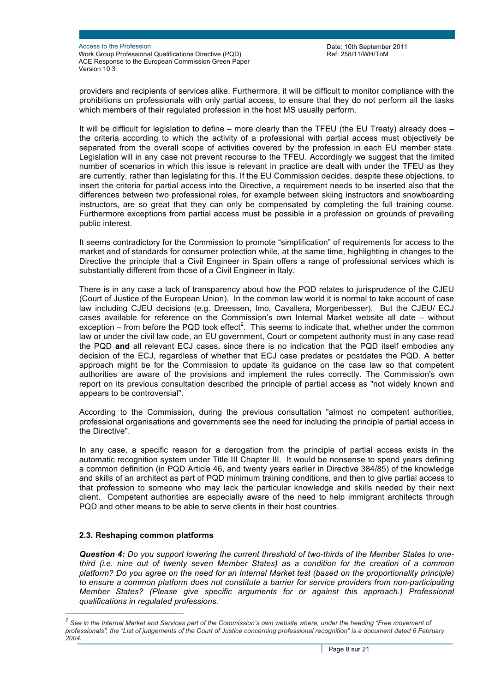Date: 10th September 2011 Ref: 258/11/WH/ToM

providers and recipients of services alike. Furthermore, it will be difficult to monitor compliance with the prohibitions on professionals with only partial access, to ensure that they do not perform all the tasks which members of their regulated profession in the host MS usually perform.

It will be difficult for legislation to define – more clearly than the TFEU (the EU Treaty) already does – the criteria according to which the activity of a professional with partial access must objectively be separated from the overall scope of activities covered by the profession in each EU member state. Legislation will in any case not prevent recourse to the TFEU. Accordingly we suggest that the limited number of scenarios in which this issue is relevant in practice are dealt with under the TFEU as they are currently, rather than legislating for this. If the EU Commission decides, despite these objections, to insert the criteria for partial access into the Directive, a requirement needs to be inserted also that the differences between two professional roles, for example between skiing instructors and snowboarding instructors, are so great that they can only be compensated by completing the full training course. Furthermore exceptions from partial access must be possible in a profession on grounds of prevailing public interest.

It seems contradictory for the Commission to promote "simplification" of requirements for access to the market and of standards for consumer protection while, at the same time, highlighting in changes to the Directive the principle that a Civil Engineer in Spain offers a range of professional services which is substantially different from those of a Civil Engineer in Italy.

There is in any case a lack of transparency about how the PQD relates to jurisprudence of the CJEU (Court of Justice of the European Union). In the common law world it is normal to take account of case law including CJEU decisions (e.g. Dreessen, Imo, Cavallera, Morgenbesser). But the CJEU/ ECJ cases available for reference on the Commission's own Internal Market website all date – without exception – from before the PQD took effect<sup>2</sup>. This seems to indicate that, whether under the common law or under the civil law code, an EU government, Court or competent authority must in any case read the PQD **and** all relevant ECJ cases, since there is no indication that the PQD itself embodies any decision of the ECJ, regardless of whether that ECJ case predates or postdates the PQD. A better approach might be for the Commission to update its guidance on the case law so that competent authorities are aware of the provisions and implement the rules correctly. The Commission's own report on its previous consultation described the principle of partial access as "not widely known and appears to be controversial".

According to the Commission, during the previous consultation "almost no competent authorities, professional organisations and governments see the need for including the principle of partial access in the Directive".

In any case, a specific reason for a derogation from the principle of partial access exists in the automatic recognition system under Title III Chapter III. It would be nonsense to spend years defining a common definition (in PQD Article 46, and twenty years earlier in Directive 384/85) of the knowledge and skills of an architect as part of PQD minimum training conditions, and then to give partial access to that profession to someone who may lack the particular knowledge and skills needed by their next client. Competent authorities are especially aware of the need to help immigrant architects through PQD and other means to be able to serve clients in their host countries.

# **2.3. Reshaping common platforms**

*Question 4: Do you support lowering the current threshold of two-thirds of the Member States to onethird (i.e. nine out of twenty seven Member States) as a condition for the creation of a common platform? Do you agree on the need for an Internal Market test (based on the proportionality principle) to ensure a common platform does not constitute a barrier for service providers from non-participating Member States? (Please give specific arguments for or against this approach.) Professional qualifications in regulated professions.* 

*<sup>2</sup> See in the Internal Market and Services part of the Commission's own website where, under the heading "Free movement of professionals", the "List of judgements of the Court of Justice concerning professional recognition" is a document dated 6 February 2004.*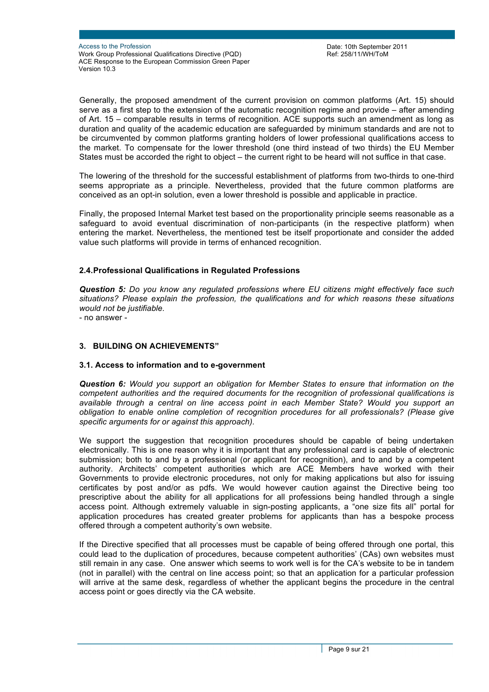Generally, the proposed amendment of the current provision on common platforms (Art. 15) should serve as a first step to the extension of the automatic recognition regime and provide – after amending of Art. 15 – comparable results in terms of recognition. ACE supports such an amendment as long as duration and quality of the academic education are safeguarded by minimum standards and are not to be circumvented by common platforms granting holders of lower professional qualifications access to the market. To compensate for the lower threshold (one third instead of two thirds) the EU Member States must be accorded the right to object – the current right to be heard will not suffice in that case.

The lowering of the threshold for the successful establishment of platforms from two-thirds to one-third seems appropriate as a principle. Nevertheless, provided that the future common platforms are conceived as an opt-in solution, even a lower threshold is possible and applicable in practice.

Finally, the proposed Internal Market test based on the proportionality principle seems reasonable as a safeguard to avoid eventual discrimination of non-participants (in the respective platform) when entering the market. Nevertheless, the mentioned test be itself proportionate and consider the added value such platforms will provide in terms of enhanced recognition.

# **2.4.Professional Qualifications in Regulated Professions**

*Question 5: Do you know any regulated professions where EU citizens might effectively face such situations? Please explain the profession, the qualifications and for which reasons these situations would not be justifiable.* 

- no answer -

### **3. BUILDING ON ACHIEVEMENTS"**

# **3.1. Access to information and to e-government**

*Question 6: Would you support an obligation for Member States to ensure that information on the competent authorities and the required documents for the recognition of professional qualifications is available through a central on line access point in each Member State? Would you support an obligation to enable online completion of recognition procedures for all professionals? (Please give specific arguments for or against this approach).*

We support the suggestion that recognition procedures should be capable of being undertaken electronically. This is one reason why it is important that any professional card is capable of electronic submission; both to and by a professional (or applicant for recognition), and to and by a competent authority. Architects' competent authorities which are ACE Members have worked with their Governments to provide electronic procedures, not only for making applications but also for issuing certificates by post and/or as pdfs. We would however caution against the Directive being too prescriptive about the ability for all applications for all professions being handled through a single access point. Although extremely valuable in sign-posting applicants, a "one size fits all" portal for application procedures has created greater problems for applicants than has a bespoke process offered through a competent authority's own website.

If the Directive specified that all processes must be capable of being offered through one portal, this could lead to the duplication of procedures, because competent authorities' (CAs) own websites must still remain in any case. One answer which seems to work well is for the CA's website to be in tandem (not in parallel) with the central on line access point; so that an application for a particular profession will arrive at the same desk, regardless of whether the applicant begins the procedure in the central access point or goes directly via the CA website.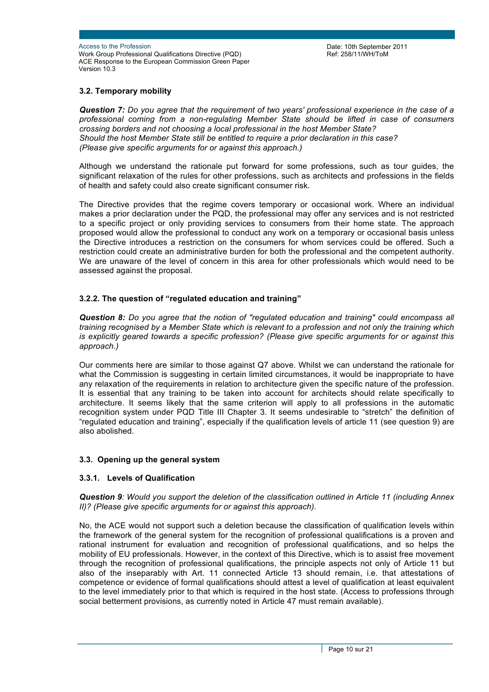# **3.2. Temporary mobility**

*Question 7: Do you agree that the requirement of two years' professional experience in the case of a professional coming from a non-regulating Member State should be lifted in case of consumers crossing borders and not choosing a local professional in the host Member State? Should the host Member State still be entitled to require a prior declaration in this case? (Please give specific arguments for or against this approach.)*

Although we understand the rationale put forward for some professions, such as tour guides, the significant relaxation of the rules for other professions, such as architects and professions in the fields of health and safety could also create significant consumer risk.

The Directive provides that the regime covers temporary or occasional work. Where an individual makes a prior declaration under the PQD, the professional may offer any services and is not restricted to a specific project or only providing services to consumers from their home state. The approach proposed would allow the professional to conduct any work on a temporary or occasional basis unless the Directive introduces a restriction on the consumers for whom services could be offered. Such a restriction could create an administrative burden for both the professional and the competent authority. We are unaware of the level of concern in this area for other professionals which would need to be assessed against the proposal.

# **3.2.2. The question of "regulated education and training"**

*Question 8: Do you agree that the notion of "regulated education and training" could encompass all training recognised by a Member State which is relevant to a profession and not only the training which is explicitly geared towards a specific profession? (Please give specific arguments for or against this approach.)*

Our comments here are similar to those against Q7 above. Whilst we can understand the rationale for what the Commission is suggesting in certain limited circumstances, it would be inappropriate to have any relaxation of the requirements in relation to architecture given the specific nature of the profession. It is essential that any training to be taken into account for architects should relate specifically to architecture. It seems likely that the same criterion will apply to all professions in the automatic recognition system under PQD Title III Chapter 3. It seems undesirable to "stretch" the definition of "regulated education and training", especially if the qualification levels of article 11 (see question 9) are also abolished.

# **3.3. Opening up the general system**

# **3.3.1. Levels of Qualification**

*Question 9: Would you support the deletion of the classification outlined in Article 11 (including Annex II)? (Please give specific arguments for or against this approach).*

No, the ACE would not support such a deletion because the classification of qualification levels within the framework of the general system for the recognition of professional qualifications is a proven and rational instrument for evaluation and recognition of professional qualifications, and so helps the mobility of EU professionals. However, in the context of this Directive, which is to assist free movement through the recognition of professional qualifications, the principle aspects not only of Article 11 but also of the inseparably with Art. 11 connected Article 13 should remain, i.e. that attestations of competence or evidence of formal qualifications should attest a level of qualification at least equivalent to the level immediately prior to that which is required in the host state. (Access to professions through social betterment provisions, as currently noted in Article 47 must remain available).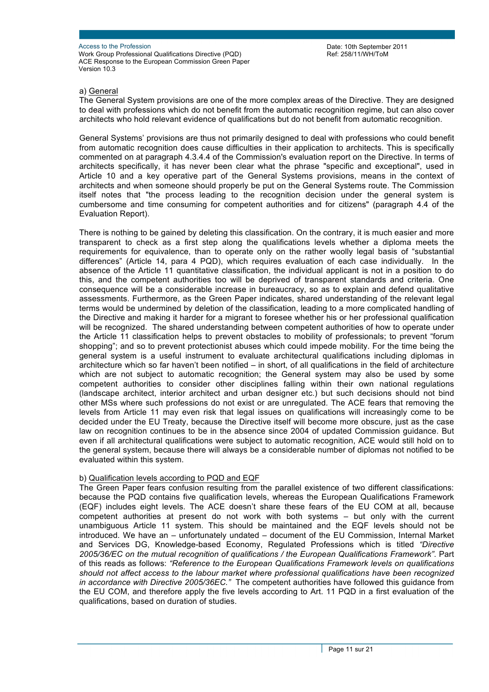Date: 10th September 2011 Ref: 258/11/WH/ToM

### a) General

The General System provisions are one of the more complex areas of the Directive. They are designed to deal with professions which do not benefit from the automatic recognition regime, but can also cover architects who hold relevant evidence of qualifications but do not benefit from automatic recognition.

General Systems' provisions are thus not primarily designed to deal with professions who could benefit from automatic recognition does cause difficulties in their application to architects. This is specifically commented on at paragraph 4.3.4.4 of the Commission's evaluation report on the Directive. In terms of architects specifically, it has never been clear what the phrase "specific and exceptional", used in Article 10 and a key operative part of the General Systems provisions, means in the context of architects and when someone should properly be put on the General Systems route. The Commission itself notes that "the process leading to the recognition decision under the general system is cumbersome and time consuming for competent authorities and for citizens" (paragraph 4.4 of the Evaluation Report).

There is nothing to be gained by deleting this classification. On the contrary, it is much easier and more transparent to check as a first step along the qualifications levels whether a diploma meets the requirements for equivalence, than to operate only on the rather woolly legal basis of "substantial differences" (Article 14, para 4 PQD), which requires evaluation of each case individually. In the absence of the Article 11 quantitative classification, the individual applicant is not in a position to do this, and the competent authorities too will be deprived of transparent standards and criteria. One consequence will be a considerable increase in bureaucracy, so as to explain and defend qualitative assessments. Furthermore, as the Green Paper indicates, shared understanding of the relevant legal terms would be undermined by deletion of the classification, leading to a more complicated handling of the Directive and making it harder for a migrant to foresee whether his or her professional qualification will be recognized. The shared understanding between competent authorities of how to operate under the Article 11 classification helps to prevent obstacles to mobility of professionals; to prevent "forum shopping"; and so to prevent protectionist abuses which could impede mobility. For the time being the general system is a useful instrument to evaluate architectural qualifications including diplomas in architecture which so far haven't been notified – in short, of all qualifications in the field of architecture which are not subject to automatic recognition; the General system may also be used by some competent authorities to consider other disciplines falling within their own national regulations (landscape architect, interior architect and urban designer etc.) but such decisions should not bind other MSs where such professions do not exist or are unregulated. The ACE fears that removing the levels from Article 11 may even risk that legal issues on qualifications will increasingly come to be decided under the EU Treaty, because the Directive itself will become more obscure, just as the case law on recognition continues to be in the absence since 2004 of updated Commission guidance. But even if all architectural qualifications were subject to automatic recognition, ACE would still hold on to the general system, because there will always be a considerable number of diplomas not notified to be evaluated within this system.

### b) Qualification levels according to PQD and EQF

The Green Paper fears confusion resulting from the parallel existence of two different classifications: because the PQD contains five qualification levels, whereas the European Qualifications Framework (EQF) includes eight levels. The ACE doesn't share these fears of the EU COM at all, because competent authorities at present do not work with both systems – but only with the current unambiguous Article 11 system. This should be maintained and the EQF levels should not be introduced. We have an – unfortunately undated – document of the EU Commission, Internal Market and Services DG, Knowledge-based Economy, Regulated Professions which is titled *"Directive 2005/36/EC on the mutual recognition of qualifications / the European Qualifications Framework"*. Part of this reads as follows: *"Reference to the European Qualifications Framework levels on qualifications should not affect access to the labour market where professional qualifications have been recognized in accordance with Directive 2005/36EC."* The competent authorities have followed this guidance from the EU COM, and therefore apply the five levels according to Art. 11 PQD in a first evaluation of the qualifications, based on duration of studies.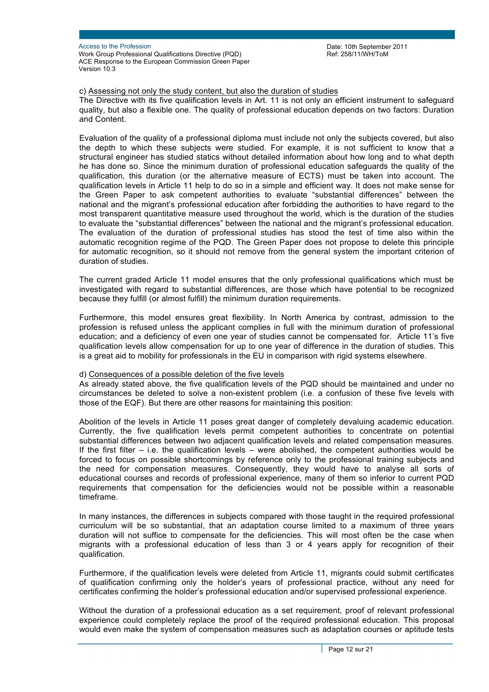Date: 10th September 2011 Ref: 258/11/WH/ToM

c) Assessing not only the study content, but also the duration of studies

The Directive with its five qualification levels in Art. 11 is not only an efficient instrument to safeguard quality, but also a flexible one. The quality of professional education depends on two factors: Duration and Content.

Evaluation of the quality of a professional diploma must include not only the subjects covered, but also the depth to which these subjects were studied. For example, it is not sufficient to know that a structural engineer has studied statics without detailed information about how long and to what depth he has done so. Since the minimum duration of professional education safeguards the quality of the qualification, this duration (or the alternative measure of ECTS) must be taken into account. The qualification levels in Article 11 help to do so in a simple and efficient way. It does not make sense for the Green Paper to ask competent authorities to evaluate "substantial differences" between the national and the migrant's professional education after forbidding the authorities to have regard to the most transparent quantitative measure used throughout the world, which is the duration of the studies to evaluate the "substantial differences" between the national and the migrant's professional education. The evaluation of the duration of professional studies has stood the test of time also within the automatic recognition regime of the PQD. The Green Paper does not propose to delete this principle for automatic recognition, so it should not remove from the general system the important criterion of duration of studies.

The current graded Article 11 model ensures that the only professional qualifications which must be investigated with regard to substantial differences, are those which have potential to be recognized because they fulfill (or almost fulfill) the minimum duration requirements.

Furthermore, this model ensures great flexibility. In North America by contrast, admission to the profession is refused unless the applicant complies in full with the minimum duration of professional education; and a deficiency of even one year of studies cannot be compensated for. Article 11's five qualification levels allow compensation for up to one year of difference in the duration of studies. This is a great aid to mobility for professionals in the EU in comparison with rigid systems elsewhere.

### d) Consequences of a possible deletion of the five levels

As already stated above, the five qualification levels of the PQD should be maintained and under no circumstances be deleted to solve a non-existent problem (i.e. a confusion of these five levels with those of the EQF). But there are other reasons for maintaining this position:

Abolition of the levels in Article 11 poses great danger of completely devaluing academic education. Currently, the five qualification levels permit competent authorities to concentrate on potential substantial differences between two adjacent qualification levels and related compensation measures. If the first filter – i.e. the qualification levels – were abolished, the competent authorities would be forced to focus on possible shortcomings by reference only to the professional training subjects and the need for compensation measures. Consequently, they would have to analyse all sorts of educational courses and records of professional experience, many of them so inferior to current PQD requirements that compensation for the deficiencies would not be possible within a reasonable timeframe.

In many instances, the differences in subjects compared with those taught in the required professional curriculum will be so substantial, that an adaptation course limited to a maximum of three years duration will not suffice to compensate for the deficiencies. This will most often be the case when migrants with a professional education of less than 3 or 4 years apply for recognition of their qualification.

Furthermore, if the qualification levels were deleted from Article 11, migrants could submit certificates of qualification confirming only the holder's years of professional practice, without any need for certificates confirming the holder's professional education and/or supervised professional experience.

Without the duration of a professional education as a set requirement, proof of relevant professional experience could completely replace the proof of the required professional education. This proposal would even make the system of compensation measures such as adaptation courses or aptitude tests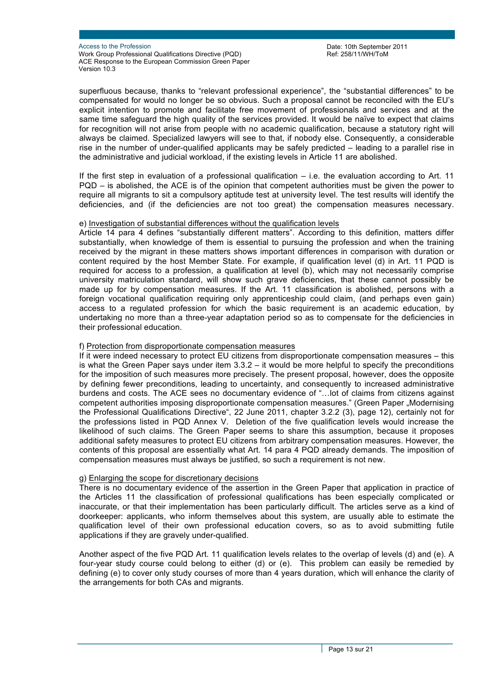Date: 10th September 2011 Ref: 258/11/WH/ToM

superfluous because, thanks to "relevant professional experience", the "substantial differences" to be compensated for would no longer be so obvious. Such a proposal cannot be reconciled with the EU's explicit intention to promote and facilitate free movement of professionals and services and at the same time safeguard the high quality of the services provided. It would be naïve to expect that claims for recognition will not arise from people with no academic qualification, because a statutory right will always be claimed. Specialized lawyers will see to that, if nobody else. Consequently, a considerable rise in the number of under-qualified applicants may be safely predicted – leading to a parallel rise in the administrative and judicial workload, if the existing levels in Article 11 are abolished.

If the first step in evaluation of a professional qualification – i.e. the evaluation according to Art. 11 PQD – is abolished, the ACE is of the opinion that competent authorities must be given the power to require all migrants to sit a compulsory aptitude test at university level. The test results will identify the deficiencies, and (if the deficiencies are not too great) the compensation measures necessary.

### e) Investigation of substantial differences without the qualification levels

Article 14 para 4 defines "substantially different matters". According to this definition, matters differ substantially, when knowledge of them is essential to pursuing the profession and when the training received by the migrant in these matters shows important differences in comparison with duration or content required by the host Member State. For example, if qualification level (d) in Art. 11 PQD is required for access to a profession, a qualification at level (b), which may not necessarily comprise university matriculation standard, will show such grave deficiencies, that these cannot possibly be made up for by compensation measures. If the Art. 11 classification is abolished, persons with a foreign vocational qualification requiring only apprenticeship could claim, (and perhaps even gain) access to a regulated profession for which the basic requirement is an academic education, by undertaking no more than a three-year adaptation period so as to compensate for the deficiencies in their professional education.

### f) Protection from disproportionate compensation measures

If it were indeed necessary to protect EU citizens from disproportionate compensation measures – this is what the Green Paper says under item 3.3.2 – it would be more helpful to specify the preconditions for the imposition of such measures more precisely. The present proposal, however, does the opposite by defining fewer preconditions, leading to uncertainty, and consequently to increased administrative burdens and costs. The ACE sees no documentary evidence of "…lot of claims from citizens against competent authorities imposing disproportionate compensation measures." (Green Paper "Modernising the Professional Qualifications Directive", 22 June 2011, chapter 3.2.2 (3), page 12), certainly not for the professions listed in PQD Annex V. Deletion of the five qualification levels would increase the likelihood of such claims. The Green Paper seems to share this assumption, because it proposes additional safety measures to protect EU citizens from arbitrary compensation measures. However, the contents of this proposal are essentially what Art. 14 para 4 PQD already demands. The imposition of compensation measures must always be justified, so such a requirement is not new.

# g) Enlarging the scope for discretionary decisions

There is no documentary evidence of the assertion in the Green Paper that application in practice of the Articles 11 the classification of professional qualifications has been especially complicated or inaccurate, or that their implementation has been particularly difficult. The articles serve as a kind of doorkeeper: applicants, who inform themselves about this system, are usually able to estimate the qualification level of their own professional education covers, so as to avoid submitting futile applications if they are gravely under-qualified.

Another aspect of the five PQD Art. 11 qualification levels relates to the overlap of levels (d) and (e). A four-year study course could belong to either (d) or (e). This problem can easily be remedied by defining (e) to cover only study courses of more than 4 years duration, which will enhance the clarity of the arrangements for both CAs and migrants.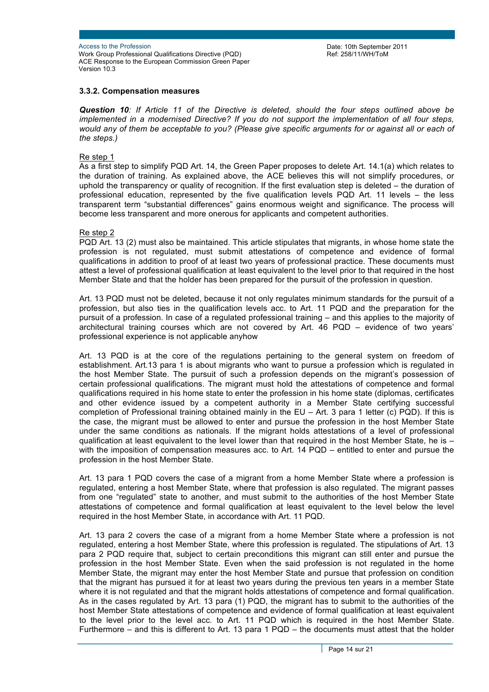### **3.3.2. Compensation measures**

*Question 10: If Article 11 of the Directive is deleted, should the four steps outlined above be implemented in a modernised Directive? If you do not support the implementation of all four steps, would any of them be acceptable to you? (Please give specific arguments for or against all or each of the steps.)* 

### Re step 1

As a first step to simplify PQD Art. 14, the Green Paper proposes to delete Art. 14.1(a) which relates to the duration of training. As explained above, the ACE believes this will not simplify procedures, or uphold the transparency or quality of recognition. If the first evaluation step is deleted – the duration of professional education, represented by the five qualification levels PQD Art. 11 levels – the less transparent term "substantial differences" gains enormous weight and significance. The process will become less transparent and more onerous for applicants and competent authorities.

### Re step 2

PQD Art. 13 (2) must also be maintained. This article stipulates that migrants, in whose home state the profession is not regulated, must submit attestations of competence and evidence of formal qualifications in addition to proof of at least two years of professional practice. These documents must attest a level of professional qualification at least equivalent to the level prior to that required in the host Member State and that the holder has been prepared for the pursuit of the profession in question.

Art. 13 PQD must not be deleted, because it not only regulates minimum standards for the pursuit of a profession, but also ties in the qualification levels acc. to Art. 11 PQD and the preparation for the pursuit of a profession. In case of a regulated professional training – and this applies to the majority of architectural training courses which are not covered by Art. 46 PQD – evidence of two years' professional experience is not applicable anyhow

Art. 13 PQD is at the core of the regulations pertaining to the general system on freedom of establishment. Art.13 para 1 is about migrants who want to pursue a profession which is regulated in the host Member State. The pursuit of such a profession depends on the migrant's possession of certain professional qualifications. The migrant must hold the attestations of competence and formal qualifications required in his home state to enter the profession in his home state (diplomas, certificates and other evidence issued by a competent authority in a Member State certifying successful completion of Professional training obtained mainly in the EU – Art. 3 para 1 letter (c) PQD). If this is the case, the migrant must be allowed to enter and pursue the profession in the host Member State under the same conditions as nationals. If the migrant holds attestations of a level of professional qualification at least equivalent to the level lower than that required in the host Member State, he is – with the imposition of compensation measures acc. to Art. 14 PQD – entitled to enter and pursue the profession in the host Member State.

Art. 13 para 1 PQD covers the case of a migrant from a home Member State where a profession is regulated, entering a host Member State, where that profession is also regulated. The migrant passes from one "regulated" state to another, and must submit to the authorities of the host Member State attestations of competence and formal qualification at least equivalent to the level below the level required in the host Member State, in accordance with Art. 11 PQD.

Art. 13 para 2 covers the case of a migrant from a home Member State where a profession is not regulated, entering a host Member State, where this profession is regulated. The stipulations of Art. 13 para 2 PQD require that, subject to certain preconditions this migrant can still enter and pursue the profession in the host Member State. Even when the said profession is not regulated in the home Member State, the migrant may enter the host Member State and pursue that profession on condition that the migrant has pursued it for at least two years during the previous ten years in a member State where it is not regulated and that the migrant holds attestations of competence and formal qualification. As in the cases regulated by Art. 13 para (1) PQD, the migrant has to submit to the authorities of the host Member State attestations of competence and evidence of formal qualification at least equivalent to the level prior to the level acc. to Art. 11 PQD which is required in the host Member State. Furthermore – and this is different to Art. 13 para 1 PQD – the documents must attest that the holder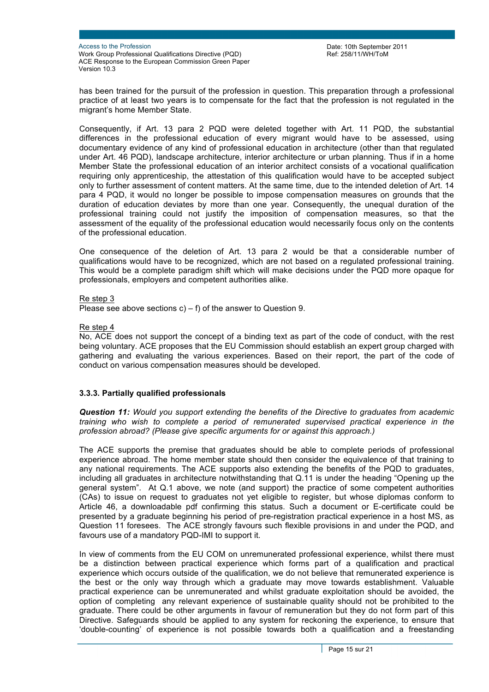Date: 10th September 2011 Ref: 258/11/WH/ToM

has been trained for the pursuit of the profession in question. This preparation through a professional practice of at least two years is to compensate for the fact that the profession is not regulated in the migrant's home Member State.

Consequently, if Art. 13 para 2 PQD were deleted together with Art. 11 PQD, the substantial differences in the professional education of every migrant would have to be assessed, using documentary evidence of any kind of professional education in architecture (other than that regulated under Art. 46 PQD), landscape architecture, interior architecture or urban planning. Thus if in a home Member State the professional education of an interior architect consists of a vocational qualification requiring only apprenticeship, the attestation of this qualification would have to be accepted subject only to further assessment of content matters. At the same time, due to the intended deletion of Art. 14 para 4 PQD, it would no longer be possible to impose compensation measures on grounds that the duration of education deviates by more than one year. Consequently, the unequal duration of the professional training could not justify the imposition of compensation measures, so that the assessment of the equality of the professional education would necessarily focus only on the contents of the professional education.

One consequence of the deletion of Art. 13 para 2 would be that a considerable number of qualifications would have to be recognized, which are not based on a regulated professional training. This would be a complete paradigm shift which will make decisions under the PQD more opaque for professionals, employers and competent authorities alike.

Re step 3

Please see above sections  $c$ ) – f) of the answer to Question 9.

Re step 4

No, ACE does not support the concept of a binding text as part of the code of conduct, with the rest being voluntary. ACE proposes that the EU Commission should establish an expert group charged with gathering and evaluating the various experiences. Based on their report, the part of the code of conduct on various compensation measures should be developed.

# **3.3.3. Partially qualified professionals**

*Question 11: Would you support extending the benefits of the Directive to graduates from academic training who wish to complete a period of remunerated supervised practical experience in the profession abroad? (Please give specific arguments for or against this approach.)*

The ACE supports the premise that graduates should be able to complete periods of professional experience abroad. The home member state should then consider the equivalence of that training to any national requirements. The ACE supports also extending the benefits of the PQD to graduates, including all graduates in architecture notwithstanding that Q.11 is under the heading "Opening up the general system". At Q.1 above, we note (and support) the practice of some competent authorities (CAs) to issue on request to graduates not yet eligible to register, but whose diplomas conform to Article 46, a downloadable pdf confirming this status. Such a document or E-certificate could be presented by a graduate beginning his period of pre-registration practical experience in a host MS, as Question 11 foresees. The ACE strongly favours such flexible provisions in and under the PQD, and favours use of a mandatory PQD-IMI to support it.

In view of comments from the EU COM on unremunerated professional experience, whilst there must be a distinction between practical experience which forms part of a qualification and practical experience which occurs outside of the qualification, we do not believe that remunerated experience is the best or the only way through which a graduate may move towards establishment. Valuable practical experience can be unremunerated and whilst graduate exploitation should be avoided, the option of completing any relevant experience of sustainable quality should not be prohibited to the graduate. There could be other arguments in favour of remuneration but they do not form part of this Directive. Safeguards should be applied to any system for reckoning the experience, to ensure that 'double-counting' of experience is not possible towards both a qualification and a freestanding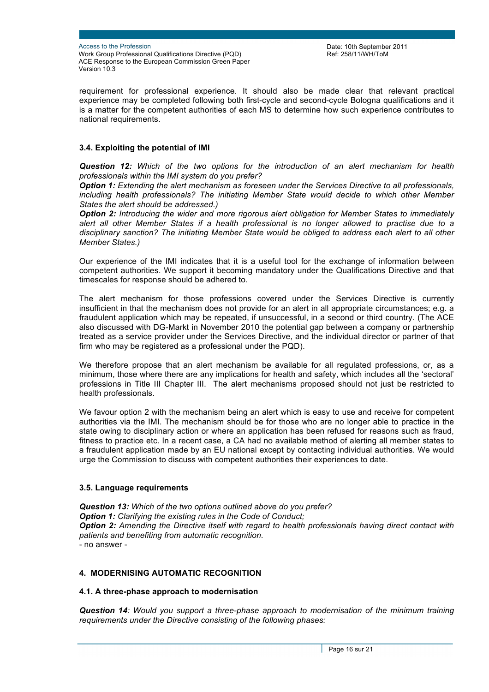Date: 10th September 2011 Ref: 258/11/WH/ToM

requirement for professional experience. It should also be made clear that relevant practical experience may be completed following both first-cycle and second-cycle Bologna qualifications and it is a matter for the competent authorities of each MS to determine how such experience contributes to national requirements.

# **3.4. Exploiting the potential of IMI**

*Question 12: Which of the two options for the introduction of an alert mechanism for health professionals within the IMI system do you prefer?*

*Option 1: Extending the alert mechanism as foreseen under the Services Directive to all professionals, including health professionals? The initiating Member State would decide to which other Member States the alert should be addressed.)*

*Option 2: Introducing the wider and more rigorous alert obligation for Member States to immediately alert all other Member States if a health professional is no longer allowed to practise due to a disciplinary sanction? The initiating Member State would be obliged to address each alert to all other Member States.)*

Our experience of the IMI indicates that it is a useful tool for the exchange of information between competent authorities. We support it becoming mandatory under the Qualifications Directive and that timescales for response should be adhered to.

The alert mechanism for those professions covered under the Services Directive is currently insufficient in that the mechanism does not provide for an alert in all appropriate circumstances; e.g. a fraudulent application which may be repeated, if unsuccessful, in a second or third country. (The ACE also discussed with DG-Markt in November 2010 the potential gap between a company or partnership treated as a service provider under the Services Directive, and the individual director or partner of that firm who may be registered as a professional under the PQD).

We therefore propose that an alert mechanism be available for all regulated professions, or, as a minimum, those where there are any implications for health and safety, which includes all the 'sectoral' professions in Title III Chapter III. The alert mechanisms proposed should not just be restricted to health professionals.

We favour option 2 with the mechanism being an alert which is easy to use and receive for competent authorities via the IMI. The mechanism should be for those who are no longer able to practice in the state owing to disciplinary action or where an application has been refused for reasons such as fraud, fitness to practice etc. In a recent case, a CA had no available method of alerting all member states to a fraudulent application made by an EU national except by contacting individual authorities. We would urge the Commission to discuss with competent authorities their experiences to date.

### **3.5. Language requirements**

*Question 13: Which of the two options outlined above do you prefer? Option 1: Clarifying the existing rules in the Code of Conduct; Option 2: Amending the Directive itself with regard to health professionals having direct contact with patients and benefiting from automatic recognition.* - no answer -

### **4. MODERNISING AUTOMATIC RECOGNITION**

### **4.1. A three-phase approach to modernisation**

*Question 14: Would you support a three-phase approach to modernisation of the minimum training requirements under the Directive consisting of the following phases:*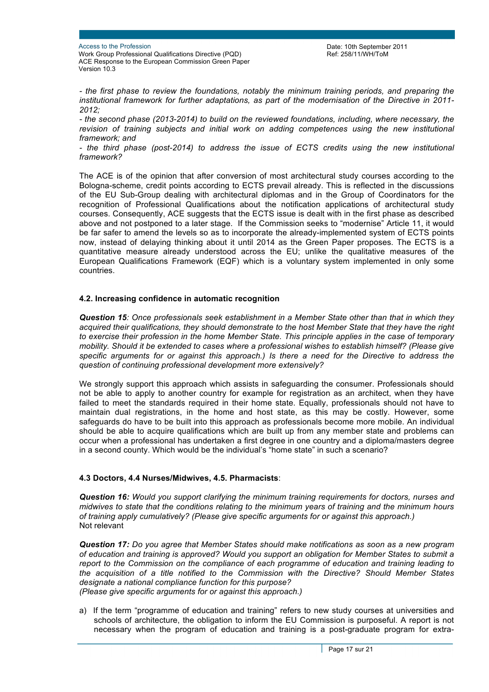Access to the Profession

Work Group Professional Qualifications Directive (PQD) ACE Response to the European Commission Green Paper Version 10.3

Date: 10th September 2011 Ref: 258/11/WH/ToM

*- the first phase to review the foundations, notably the minimum training periods, and preparing the institutional framework for further adaptations, as part of the modernisation of the Directive in 2011- 2012;*

*- the second phase (2013-2014) to build on the reviewed foundations, including, where necessary, the*  revision of training subjects and initial work on adding competences using the new institutional *framework; and*

*- the third phase (post-2014) to address the issue of ECTS credits using the new institutional framework?*

The ACE is of the opinion that after conversion of most architectural study courses according to the Bologna-scheme, credit points according to ECTS prevail already. This is reflected in the discussions of the EU Sub-Group dealing with architectural diplomas and in the Group of Coordinators for the recognition of Professional Qualifications about the notification applications of architectural study courses. Consequently, ACE suggests that the ECTS issue is dealt with in the first phase as described above and not postponed to a later stage. If the Commission seeks to "modernise" Article 11, it would be far safer to amend the levels so as to incorporate the already-implemented system of ECTS points now, instead of delaying thinking about it until 2014 as the Green Paper proposes. The ECTS is a quantitative measure already understood across the EU; unlike the qualitative measures of the European Qualifications Framework (EQF) which is a voluntary system implemented in only some countries.

# **4.2. Increasing confidence in automatic recognition**

*Question 15: Once professionals seek establishment in a Member State other than that in which they acquired their qualifications, they should demonstrate to the host Member State that they have the right to exercise their profession in the home Member State. This principle applies in the case of temporary mobility. Should it be extended to cases where a professional wishes to establish himself? (Please give specific arguments for or against this approach.) Is there a need for the Directive to address the question of continuing professional development more extensively?* 

We strongly support this approach which assists in safeguarding the consumer. Professionals should not be able to apply to another country for example for registration as an architect, when they have failed to meet the standards required in their home state. Equally, professionals should not have to maintain dual registrations, in the home and host state, as this may be costly. However, some safeguards do have to be built into this approach as professionals become more mobile. An individual should be able to acquire qualifications which are built up from any member state and problems can occur when a professional has undertaken a first degree in one country and a diploma/masters degree in a second county. Which would be the individual's "home state" in such a scenario?

# **4.3 Doctors, 4.4 Nurses/Midwives, 4.5. Pharmacists**:

*Question 16: Would you support clarifying the minimum training requirements for doctors, nurses and midwives to state that the conditions relating to the minimum years of training and the minimum hours of training apply cumulatively? (Please give specific arguments for or against this approach.)*  Not relevant

*Question 17: Do you agree that Member States should make notifications as soon as a new program of education and training is approved? Would you support an obligation for Member States to submit a report to the Commission on the compliance of each programme of education and training leading to the acquisition of a title notified to the Commission with the Directive? Should Member States designate a national compliance function for this purpose? (Please give specific arguments for or against this approach.)*

a) If the term "programme of education and training" refers to new study courses at universities and schools of architecture, the obligation to inform the EU Commission is purposeful. A report is not necessary when the program of education and training is a post-graduate program for extra-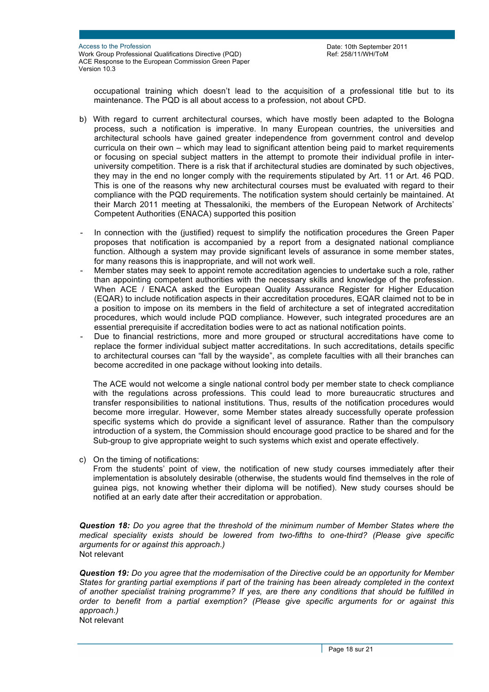#### Access to the Profession

Work Group Professional Qualifications Directive (PQD) ACE Response to the European Commission Green Paper Version 10.3

occupational training which doesn't lead to the acquisition of a professional title but to its maintenance. The PQD is all about access to a profession, not about CPD.

- b) With regard to current architectural courses, which have mostly been adapted to the Bologna process, such a notification is imperative. In many European countries, the universities and architectural schools have gained greater independence from government control and develop curricula on their own – which may lead to significant attention being paid to market requirements or focusing on special subject matters in the attempt to promote their individual profile in interuniversity competition. There is a risk that if architectural studies are dominated by such objectives, they may in the end no longer comply with the requirements stipulated by Art. 11 or Art. 46 PQD. This is one of the reasons why new architectural courses must be evaluated with regard to their compliance with the PQD requirements. The notification system should certainly be maintained. At their March 2011 meeting at Thessaloniki, the members of the European Network of Architects' Competent Authorities (ENACA) supported this position
- In connection with the (justified) request to simplify the notification procedures the Green Paper proposes that notification is accompanied by a report from a designated national compliance function. Although a system may provide significant levels of assurance in some member states, for many reasons this is inappropriate, and will not work well.
- Member states may seek to appoint remote accreditation agencies to undertake such a role, rather than appointing competent authorities with the necessary skills and knowledge of the profession. When ACE / ENACA asked the European Quality Assurance Register for Higher Education (EQAR) to include notification aspects in their accreditation procedures, EQAR claimed not to be in a position to impose on its members in the field of architecture a set of integrated accreditation procedures, which would include PQD compliance. However, such integrated procedures are an essential prerequisite if accreditation bodies were to act as national notification points.
- Due to financial restrictions, more and more grouped or structural accreditations have come to replace the former individual subject matter accreditations. In such accreditations, details specific to architectural courses can "fall by the wayside", as complete faculties with all their branches can become accredited in one package without looking into details.

The ACE would not welcome a single national control body per member state to check compliance with the regulations across professions. This could lead to more bureaucratic structures and transfer responsibilities to national institutions. Thus, results of the notification procedures would become more irregular. However, some Member states already successfully operate profession specific systems which do provide a significant level of assurance. Rather than the compulsory introduction of a system, the Commission should encourage good practice to be shared and for the Sub-group to give appropriate weight to such systems which exist and operate effectively.

c) On the timing of notifications:

From the students' point of view, the notification of new study courses immediately after their implementation is absolutely desirable (otherwise, the students would find themselves in the role of guinea pigs, not knowing whether their diploma will be notified). New study courses should be notified at an early date after their accreditation or approbation.

*Question 18: Do you agree that the threshold of the minimum number of Member States where the medical speciality exists should be lowered from two-fifths to one-third? (Please give specific arguments for or against this approach.)*  Not relevant

*Question 19: Do you agree that the modernisation of the Directive could be an opportunity for Member States for granting partial exemptions if part of the training has been already completed in the context of another specialist training programme? If yes, are there any conditions that should be fulfilled in order to benefit from a partial exemption? (Please give specific arguments for or against this approach.)* Not relevant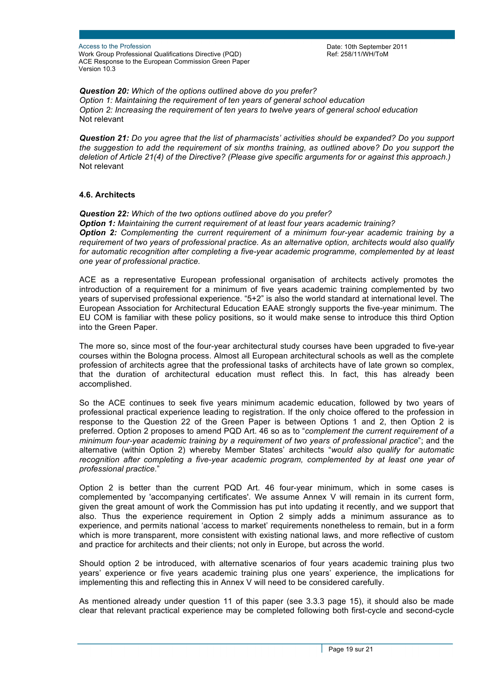Date: 10th September 2011 Ref: 258/11/WH/ToM

*Question 20: Which of the options outlined above do you prefer? Option 1: Maintaining the requirement of ten years of general school education Option 2: Increasing the requirement of ten years to twelve years of general school education* Not relevant

*Question 21: Do you agree that the list of pharmacists' activities should be expanded? Do you support the suggestion to add the requirement of six months training, as outlined above? Do you support the deletion of Article 21(4) of the Directive? (Please give specific arguments for or against this approach.)*  Not relevant

### **4.6. Architects**

*Question 22: Which of the two options outlined above do you prefer? Option 1: Maintaining the current requirement of at least four years academic training? Option 2: Complementing the current requirement of a minimum four-year academic training by a requirement of two years of professional practice. As an alternative option, architects would also qualify for automatic recognition after completing a five-year academic programme, complemented by at least one year of professional practice.* 

ACE as a representative European professional organisation of architects actively promotes the introduction of a requirement for a minimum of five years academic training complemented by two years of supervised professional experience. "5+2" is also the world standard at international level. The European Association for Architectural Education EAAE strongly supports the five-year minimum. The EU COM is familiar with these policy positions, so it would make sense to introduce this third Option into the Green Paper.

The more so, since most of the four-year architectural study courses have been upgraded to five-year courses within the Bologna process. Almost all European architectural schools as well as the complete profession of architects agree that the professional tasks of architects have of late grown so complex, that the duration of architectural education must reflect this. In fact, this has already been accomplished.

So the ACE continues to seek five years minimum academic education, followed by two years of professional practical experience leading to registration. If the only choice offered to the profession in response to the Question 22 of the Green Paper is between Options 1 and 2, then Option 2 is preferred. Option 2 proposes to amend PQD Art. 46 so as to "*complement the current requirement of a minimum four-year academic training by a requirement of two years of professional practice*"; and the alternative (within Option 2) whereby Member States' architects "*would also qualify for automatic*  recognition after completing a five-year academic program, complemented by at least one year of *professional practice*."

Option 2 is better than the current PQD Art. 46 four-year minimum, which in some cases is complemented by 'accompanying certificates'. We assume Annex V will remain in its current form, given the great amount of work the Commission has put into updating it recently, and we support that also. Thus the experience requirement in Option 2 simply adds a minimum assurance as to experience, and permits national 'access to market' requirements nonetheless to remain, but in a form which is more transparent, more consistent with existing national laws, and more reflective of custom and practice for architects and their clients; not only in Europe, but across the world.

Should option 2 be introduced, with alternative scenarios of four years academic training plus two years' experience or five years academic training plus one years' experience, the implications for implementing this and reflecting this in Annex V will need to be considered carefully.

As mentioned already under question 11 of this paper (see 3.3.3 page 15), it should also be made clear that relevant practical experience may be completed following both first-cycle and second-cycle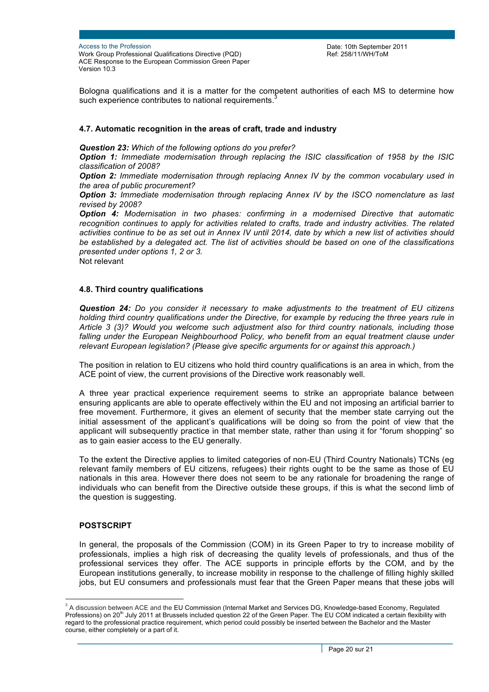Date: 10th September 2011 Ref: 258/11/WH/ToM

Bologna qualifications and it is a matter for the competent authorities of each MS to determine how such experience contributes to national requirements.

### **4.7. Automatic recognition in the areas of craft, trade and industry**

*Question 23: Which of the following options do you prefer?*

*Option 1: Immediate modernisation through replacing the ISIC classification of 1958 by the ISIC classification of 2008?*

*Option 2: Immediate modernisation through replacing Annex IV by the common vocabulary used in the area of public procurement?*

*Option 3: Immediate modernisation through replacing Annex IV by the ISCO nomenclature as last revised by 2008?*

*Option 4: Modernisation in two phases: confirming in a modernised Directive that automatic recognition continues to apply for activities related to crafts, trade and industry activities. The related activities continue to be as set out in Annex IV until 2014, date by which a new list of activities should be established by a delegated act. The list of activities should be based on one of the classifications presented under options 1, 2 or 3.* Not relevant

### **4.8. Third country qualifications**

*Question 24: Do you consider it necessary to make adjustments to the treatment of EU citizens holding third country qualifications under the Directive, for example by reducing the three years rule in Article 3 (3)? Would you welcome such adjustment also for third country nationals, including those*  falling under the European Neighbourhood Policy, who benefit from an equal treatment clause under *relevant European legislation? (Please give specific arguments for or against this approach.)*

The position in relation to EU citizens who hold third country qualifications is an area in which, from the ACE point of view, the current provisions of the Directive work reasonably well.

A three year practical experience requirement seems to strike an appropriate balance between ensuring applicants are able to operate effectively within the EU and not imposing an artificial barrier to free movement. Furthermore, it gives an element of security that the member state carrying out the initial assessment of the applicant's qualifications will be doing so from the point of view that the applicant will subsequently practice in that member state, rather than using it for "forum shopping" so as to gain easier access to the EU generally.

To the extent the Directive applies to limited categories of non-EU (Third Country Nationals) TCNs (eg relevant family members of EU citizens, refugees) their rights ought to be the same as those of EU nationals in this area. However there does not seem to be any rationale for broadening the range of individuals who can benefit from the Directive outside these groups, if this is what the second limb of the question is suggesting.

### **POSTSCRIPT**

 $\overline{a}$ 

In general, the proposals of the Commission (COM) in its Green Paper to try to increase mobility of professionals, implies a high risk of decreasing the quality levels of professionals, and thus of the professional services they offer. The ACE supports in principle efforts by the COM, and by the European institutions generally, to increase mobility in response to the challenge of filling highly skilled jobs, but EU consumers and professionals must fear that the Green Paper means that these jobs will

 $3$  A discussion between ACE and the EU Commission (Internal Market and Services DG, Knowledge-based Economy, Regulated Professions) on 20<sup>th</sup> July 2011 at Brussels included question 22 of the Green Paper. The EU COM indicated a certain flexibility with regard to the professional practice requirement, which period could possibly be inserted between the Bachelor and the Master course, either completely or a part of it.